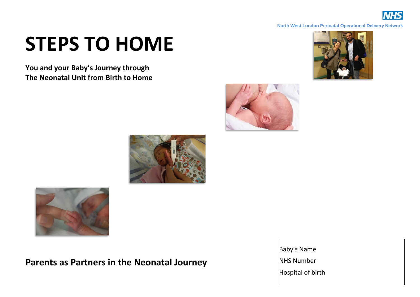

#### **North West London Perinatal Operational Delivery Network**

# **STEPS TO HOME**

**You and your Baby's Journey through The Neonatal Unit from Birth to Home**









**Parents as Partners in the Neonatal Journey**

Baby's Name NHS Number Hospital of birth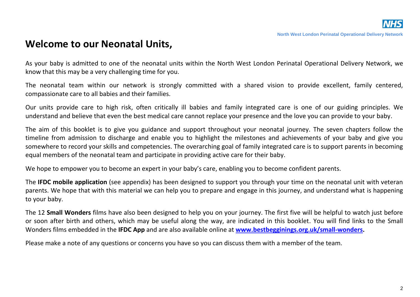#### **Welcome to our Neonatal Units,**

As your baby is admitted to one of the neonatal units within the North West London Perinatal Operational Delivery Network, we know that this may be a very challenging time for you.

The neonatal team within our network is strongly committed with a shared vision to provide excellent, family centered, compassionate care to all babies and their families.

Our units provide care to high risk, often critically ill babies and family integrated care is one of our guiding principles. We understand and believe that even the best medical care cannot replace your presence and the love you can provide to your baby.

The aim of this booklet is to give you guidance and support throughout your neonatal journey. The seven chapters follow the timeline from admission to discharge and enable you to highlight the milestones and achievements of your baby and give you somewhere to record your skills and competencies. The overarching goal of family integrated care is to support parents in becoming equal members of the neonatal team and participate in providing active care for their baby.

We hope to empower you to become an expert in your baby's care, enabling you to become confident parents.

The **IFDC mobile application** (see appendix) has been designed to support you through your time on the neonatal unit with veteran parents. We hope that with this material we can help you to prepare and engage in this journey, and understand what is happening to your baby.

The 12 **Small Wonders** films have also been designed to help you on your journey. The first five will be helpful to watch just before or soon after birth and others, which may be useful along the way, are indicated in this booklet. You will find links to the Small Wonders films embedded in the **IFDC App** and are also available online at **[www.bestbegginings.org.uk/small-wonders.](http://www.bestbegginings.org.uk/small-wonders)**

Please make a note of any questions or concerns you have so you can discuss them with a member of the team.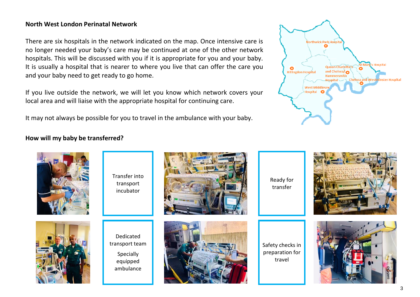#### **North West London Perinatal Network**

There are six hospitals in the network indicated on the map. Once intensive care is no longer needed your baby's care may be continued at one of the other network hospitals. This will be discussed with you if it is appropriate for you and your baby. It is usually a hospital that is nearer to where you live that can offer the care you and your baby need to get ready to go home.

If you live outside the network, we will let you know which network covers your local area and will liaise with the appropriate hospital for continuing care.

It may not always be possible for you to travel in the ambulance with your baby.



#### **How will my baby be transferred?**

| Transfer into<br>transport<br>incubator                           | Ready for<br>transfer                         |  |
|-------------------------------------------------------------------|-----------------------------------------------|--|
| Dedicated<br>transport team<br>Specially<br>equipped<br>ambulance | Safety checks in<br>preparation for<br>travel |  |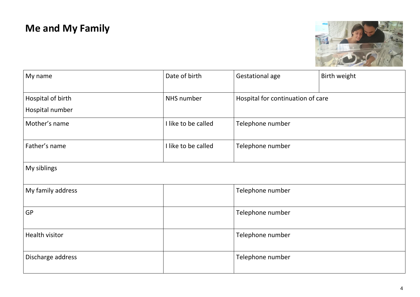# **Me and My Family**



| My name           | Date of birth       | Gestational age                   | Birth weight |
|-------------------|---------------------|-----------------------------------|--------------|
| Hospital of birth | NHS number          | Hospital for continuation of care |              |
| Hospital number   |                     |                                   |              |
| Mother's name     | I like to be called | Telephone number                  |              |
| Father's name     | I like to be called | Telephone number                  |              |
| My siblings       |                     |                                   |              |
| My family address |                     | Telephone number                  |              |
| <b>GP</b>         |                     | Telephone number                  |              |
| Health visitor    |                     | Telephone number                  |              |
| Discharge address |                     | Telephone number                  |              |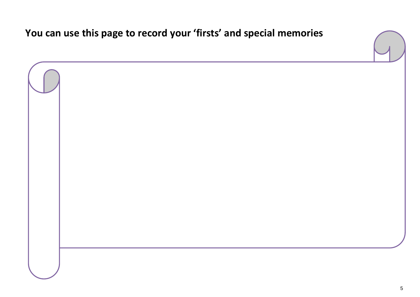**You can use this page to record your 'firsts' and special memories**

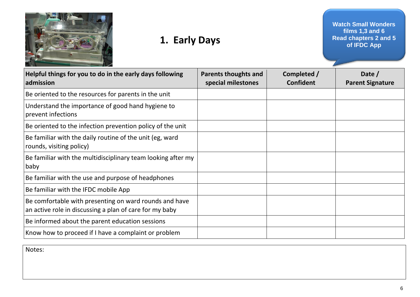

# **1. Early Days**

**Watch Small Wonders films 1,3 and 6 Read chapters 2 and 5 of IFDC App**

| Helpful things for you to do in the early days following<br>admission                                             | <b>Parents thoughts and</b><br>special milestones | Completed /<br><b>Confident</b> | Date /<br><b>Parent Signature</b> |
|-------------------------------------------------------------------------------------------------------------------|---------------------------------------------------|---------------------------------|-----------------------------------|
| Be oriented to the resources for parents in the unit                                                              |                                                   |                                 |                                   |
| Understand the importance of good hand hygiene to<br>prevent infections                                           |                                                   |                                 |                                   |
| Be oriented to the infection prevention policy of the unit                                                        |                                                   |                                 |                                   |
| Be familiar with the daily routine of the unit (eg, ward<br>rounds, visiting policy)                              |                                                   |                                 |                                   |
| Be familiar with the multidisciplinary team looking after my<br>baby                                              |                                                   |                                 |                                   |
| Be familiar with the use and purpose of headphones                                                                |                                                   |                                 |                                   |
| Be familiar with the IFDC mobile App                                                                              |                                                   |                                 |                                   |
| Be comfortable with presenting on ward rounds and have<br>an active role in discussing a plan of care for my baby |                                                   |                                 |                                   |
| Be informed about the parent education sessions                                                                   |                                                   |                                 |                                   |
| Know how to proceed if I have a complaint or problem                                                              |                                                   |                                 |                                   |

Notes: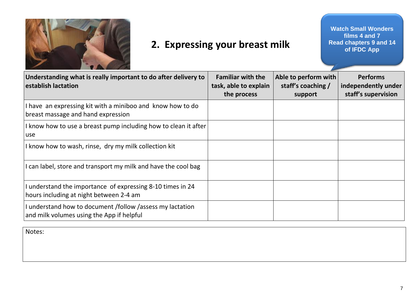

## **2. Expressing your breast milk**

**Watch Small Wonders films 4 and 7 Read chapters 9 and 14 of IFDC App**

| Understanding what is really important to do after delivery to<br>establish lactation                  | <b>Familiar with the</b><br>task, able to explain<br>the process | Able to perform with<br>staff's coaching /<br>support | <b>Performs</b><br>independently under<br>staff's supervision |
|--------------------------------------------------------------------------------------------------------|------------------------------------------------------------------|-------------------------------------------------------|---------------------------------------------------------------|
| I have an expressing kit with a miniboo and know how to do<br>breast massage and hand expression       |                                                                  |                                                       |                                                               |
| I know how to use a breast pump including how to clean it after<br>use                                 |                                                                  |                                                       |                                                               |
| I know how to wash, rinse, dry my milk collection kit                                                  |                                                                  |                                                       |                                                               |
| I can label, store and transport my milk and have the cool bag                                         |                                                                  |                                                       |                                                               |
| I understand the importance of expressing 8-10 times in 24<br>hours including at night between 2-4 am  |                                                                  |                                                       |                                                               |
| I understand how to document /follow /assess my lactation<br>and milk volumes using the App if helpful |                                                                  |                                                       |                                                               |

Notes: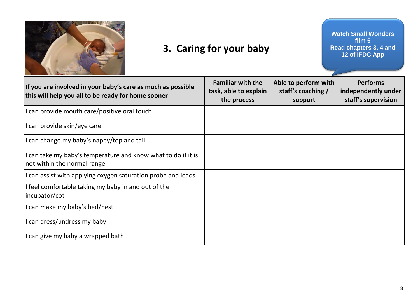

## **3. Caring for your baby**

**Watch Small Wonders film 6 Read chapters 3, 4 and 12 of IFDC App**

| If you are involved in your baby's care as much as possible<br>this will help you all to be ready for home sooner | <b>Familiar with the</b><br>task, able to explain<br>the process | Able to perform with<br>staff's coaching /<br>support | <b>Performs</b><br>independently under<br>staff's supervision |
|-------------------------------------------------------------------------------------------------------------------|------------------------------------------------------------------|-------------------------------------------------------|---------------------------------------------------------------|
| I can provide mouth care/positive oral touch                                                                      |                                                                  |                                                       |                                                               |
| I can provide skin/eye care                                                                                       |                                                                  |                                                       |                                                               |
| I can change my baby's nappy/top and tail                                                                         |                                                                  |                                                       |                                                               |
| I can take my baby's temperature and know what to do if it is<br>not within the normal range                      |                                                                  |                                                       |                                                               |
| I can assist with applying oxygen saturation probe and leads                                                      |                                                                  |                                                       |                                                               |
| I feel comfortable taking my baby in and out of the<br>incubator/cot                                              |                                                                  |                                                       |                                                               |
| I can make my baby's bed/nest                                                                                     |                                                                  |                                                       |                                                               |
| I can dress/undress my baby                                                                                       |                                                                  |                                                       |                                                               |
| I can give my baby a wrapped bath                                                                                 |                                                                  |                                                       |                                                               |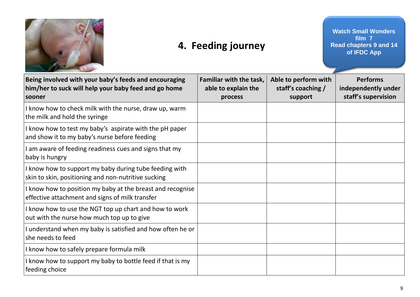

## **4. Feeding journey**

**Watch Small Wonders film 7 Read chapters 9 and 14 of IFDC App**

| Being involved with your baby's feeds and encouraging<br>him/her to suck will help your baby feed and go home<br>sooner | Familiar with the task,<br>able to explain the<br>process | Able to perform with<br>staff's coaching /<br>support | <b>Performs</b><br>independently under<br>staff's supervision |
|-------------------------------------------------------------------------------------------------------------------------|-----------------------------------------------------------|-------------------------------------------------------|---------------------------------------------------------------|
| I know how to check milk with the nurse, draw up, warm<br>the milk and hold the syringe                                 |                                                           |                                                       |                                                               |
| I know how to test my baby's aspirate with the pH paper<br>and show it to my baby's nurse before feeding                |                                                           |                                                       |                                                               |
| I am aware of feeding readiness cues and signs that my<br>baby is hungry                                                |                                                           |                                                       |                                                               |
| I know how to support my baby during tube feeding with<br>skin to skin, positioning and non-nutritive sucking           |                                                           |                                                       |                                                               |
| I know how to position my baby at the breast and recognise<br>effective attachment and signs of milk transfer           |                                                           |                                                       |                                                               |
| I know how to use the NGT top up chart and how to work<br>out with the nurse how much top up to give                    |                                                           |                                                       |                                                               |
| I understand when my baby is satisfied and how often he or<br>she needs to feed                                         |                                                           |                                                       |                                                               |
| I know how to safely prepare formula milk                                                                               |                                                           |                                                       |                                                               |
| I know how to support my baby to bottle feed if that is my<br>feeding choice                                            |                                                           |                                                       |                                                               |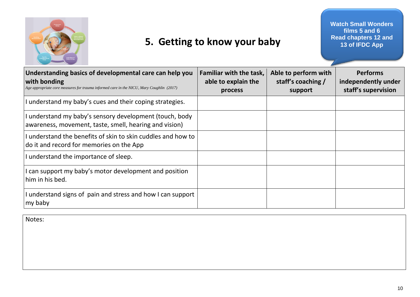

## **5. Getting to know your baby**

**Watch Small Wonders films 5 and 6 Read chapters 12 and 13 of IFDC App**

| Understanding basics of developmental care can help you<br>with bonding<br>Age appropriate core measures for trauma informed care in the NICU, Mary Coughlin (2017) | <b>Familiar with the task,</b><br>able to explain the<br>process | Able to perform with<br>staff's coaching /<br>support | <b>Performs</b><br>independently under<br>staff's supervision |
|---------------------------------------------------------------------------------------------------------------------------------------------------------------------|------------------------------------------------------------------|-------------------------------------------------------|---------------------------------------------------------------|
| I understand my baby's cues and their coping strategies.                                                                                                            |                                                                  |                                                       |                                                               |
| I understand my baby's sensory development (touch, body<br>awareness, movement, taste, smell, hearing and vision)                                                   |                                                                  |                                                       |                                                               |
| I understand the benefits of skin to skin cuddles and how to<br>do it and record for memories on the App                                                            |                                                                  |                                                       |                                                               |
| I understand the importance of sleep.                                                                                                                               |                                                                  |                                                       |                                                               |
| I can support my baby's motor development and position<br>him in his bed.                                                                                           |                                                                  |                                                       |                                                               |
| I understand signs of pain and stress and how I can support<br>my baby                                                                                              |                                                                  |                                                       |                                                               |

Notes: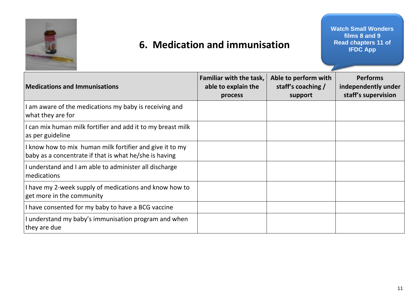

## **6. Medication and immunisation**

**Watch Small Wonders films 8 and 9 Read chapters 11 of IFDC App**

| <b>Medications and Immunisations</b>                                                                               | <b>Familiar with the task,</b><br>able to explain the<br>process | Able to perform with<br>staff's coaching /<br>support | <b>Performs</b><br>independently under<br>staff's supervision |
|--------------------------------------------------------------------------------------------------------------------|------------------------------------------------------------------|-------------------------------------------------------|---------------------------------------------------------------|
| am aware of the medications my baby is receiving and<br>what they are for                                          |                                                                  |                                                       |                                                               |
| I can mix human milk fortifier and add it to my breast milk<br>as per guideline                                    |                                                                  |                                                       |                                                               |
| I know how to mix human milk fortifier and give it to my<br>baby as a concentrate if that is what he/she is having |                                                                  |                                                       |                                                               |
| I understand and I am able to administer all discharge<br>medications                                              |                                                                  |                                                       |                                                               |
| I have my 2-week supply of medications and know how to<br>get more in the community                                |                                                                  |                                                       |                                                               |
| I have consented for my baby to have a BCG vaccine                                                                 |                                                                  |                                                       |                                                               |
| I understand my baby's immunisation program and when<br>they are due                                               |                                                                  |                                                       |                                                               |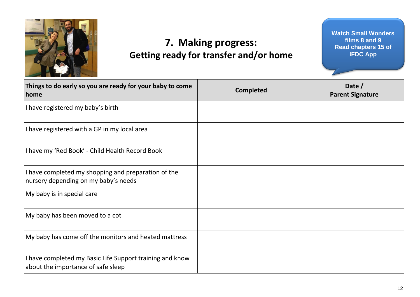

## **7. Making progress: Getting ready for transfer and/or home**

**Watch Small Wonders films 8 and 9 Read chapters 15 of IFDC App**

| Things to do early so you are ready for your baby to come<br>home                              | <b>Completed</b> | Date /<br><b>Parent Signature</b> |
|------------------------------------------------------------------------------------------------|------------------|-----------------------------------|
| I have registered my baby's birth                                                              |                  |                                   |
| I have registered with a GP in my local area                                                   |                  |                                   |
| I have my 'Red Book' - Child Health Record Book                                                |                  |                                   |
| I have completed my shopping and preparation of the<br>nursery depending on my baby's needs    |                  |                                   |
| My baby is in special care                                                                     |                  |                                   |
| My baby has been moved to a cot                                                                |                  |                                   |
| My baby has come off the monitors and heated mattress                                          |                  |                                   |
| I have completed my Basic Life Support training and know<br>about the importance of safe sleep |                  |                                   |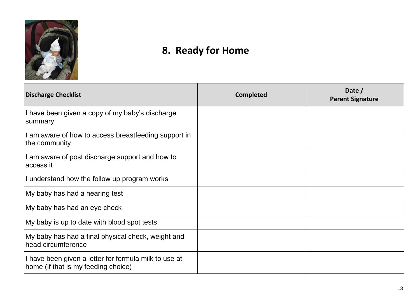

# **8. Ready for Home**

| <b>Discharge Checklist</b>                                                                   | <b>Completed</b> | Date /<br><b>Parent Signature</b> |
|----------------------------------------------------------------------------------------------|------------------|-----------------------------------|
| I have been given a copy of my baby's discharge<br>summary                                   |                  |                                   |
| I am aware of how to access breastfeeding support in<br>the community                        |                  |                                   |
| I am aware of post discharge support and how to<br>access it                                 |                  |                                   |
| I understand how the follow up program works                                                 |                  |                                   |
| My baby has had a hearing test                                                               |                  |                                   |
| My baby has had an eye check                                                                 |                  |                                   |
| My baby is up to date with blood spot tests                                                  |                  |                                   |
| My baby has had a final physical check, weight and<br>head circumference                     |                  |                                   |
| I have been given a letter for formula milk to use at<br>home (if that is my feeding choice) |                  |                                   |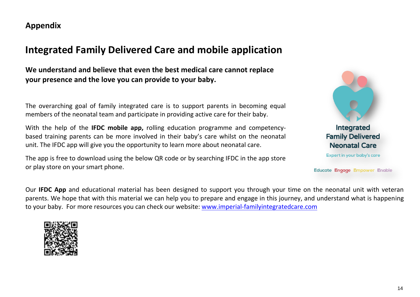**Appendix**

#### **Integrated Family Delivered Care and mobile application**

**We understand and believe that even the best medical care cannot replace your presence and the love you can provide to your baby.**

The overarching goal of family integrated care is to support parents in becoming equal members of the neonatal team and participate in providing active care for their baby.

With the help of the **IFDC mobile app,** rolling education programme and competencybased training parents can be more involved in their baby's care whilst on the neonatal unit. The IFDC app will give you the opportunity to learn more about neonatal care.

The app is free to download using the below QR code or by searching IFDC in the app store or play store on your smart phone.



Educate Engage Empower Enable

Our **IFDC App** and educational material has been designed to support you through your time on the neonatal unit with veteran parents. We hope that with this material we can help you to prepare and engage in this journey, and understand what is happening to your baby. For more resources you can check our website: [www.imperial-familyintegratedcare.com](http://www.imperial-familyintegratedcare.com/)